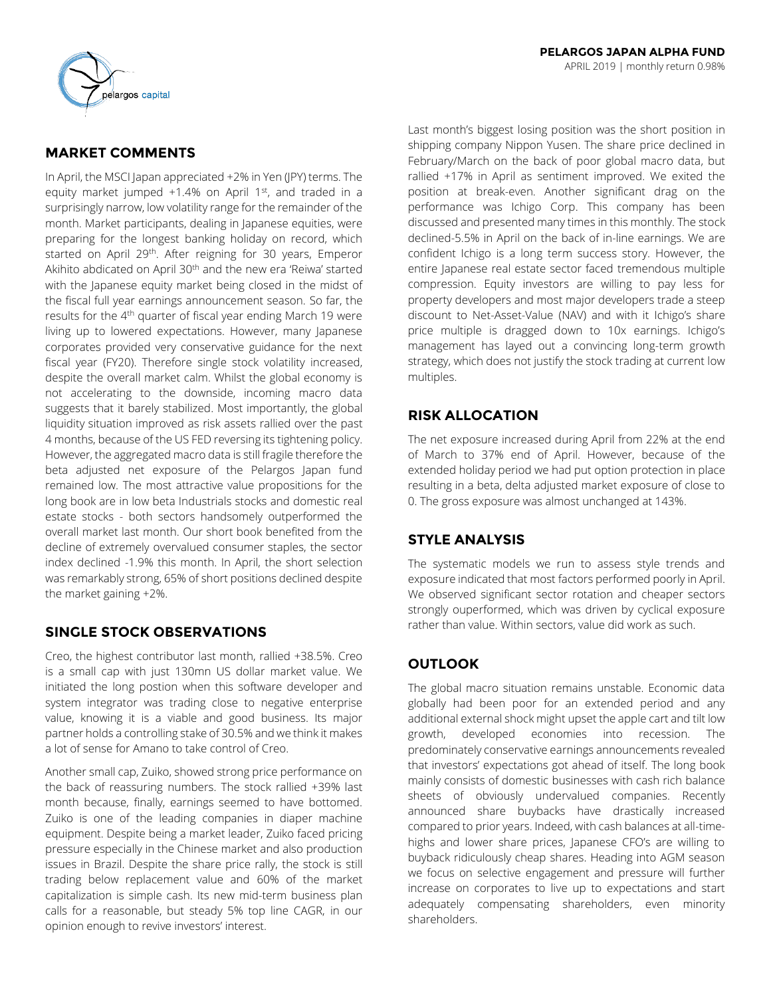

## **MARKET COMMENTS**

In April, the MSCI Japan appreciated +2% in Yen (JPY) terms. The equity market jumped  $+1.4\%$  on April 1st, and traded in a surprisingly narrow, low volatility range for the remainder of the month. Market participants, dealing in Japanese equities, were preparing for the longest banking holiday on record, which started on April 29<sup>th</sup>. After reigning for 30 years, Emperor Akihito abdicated on April 30<sup>th</sup> and the new era 'Reiwa' started with the Japanese equity market being closed in the midst of the fiscal full year earnings announcement season. So far, the results for the 4<sup>th</sup> quarter of fiscal year ending March 19 were living up to lowered expectations. However, many Japanese corporates provided very conservative guidance for the next fiscal year (FY20). Therefore single stock volatility increased, despite the overall market calm. Whilst the global economy is not accelerating to the downside, incoming macro data suggests that it barely stabilized. Most importantly, the global liquidity situation improved as risk assets rallied over the past 4 months, because of the US FED reversing its tightening policy. However, the aggregated macro data is still fragile therefore the beta adjusted net exposure of the Pelargos Japan fund remained low. The most attractive value propositions for the long book are in low beta Industrials stocks and domestic real estate stocks - both sectors handsomely outperformed the overall market last month. Our short book benefited from the decline of extremely overvalued consumer staples, the sector index declined -1.9% this month. In April, the short selection was remarkably strong, 65% of short positions declined despite the market gaining +2%.

## **SINGLE STOCK OBSERVATIONS**

Creo, the highest contributor last month, rallied +38.5%. Creo is a small cap with just 130mn US dollar market value. We initiated the long postion when this software developer and system integrator was trading close to negative enterprise value, knowing it is a viable and good business. Its major partner holds a controlling stake of 30.5% and we think it makes a lot of sense for Amano to take control of Creo.

Another small cap, Zuiko, showed strong price performance on the back of reassuring numbers. The stock rallied +39% last month because, finally, earnings seemed to have bottomed. Zuiko is one of the leading companies in diaper machine equipment. Despite being a market leader, Zuiko faced pricing pressure especially in the Chinese market and also production issues in Brazil. Despite the share price rally, the stock is still trading below replacement value and 60% of the market capitalization is simple cash. Its new mid-term business plan calls for a reasonable, but steady 5% top line CAGR, in our opinion enough to revive investors' interest.

Last month's biggest losing position was the short position in shipping company Nippon Yusen. The share price declined in February/March on the back of poor global macro data, but rallied +17% in April as sentiment improved. We exited the position at break-even. Another significant drag on the performance was Ichigo Corp. This company has been discussed and presented many times in this monthly. The stock declined-5.5% in April on the back of in-line earnings. We are confident Ichigo is a long term success story. However, the entire Japanese real estate sector faced tremendous multiple compression. Equity investors are willing to pay less for property developers and most major developers trade a steep discount to Net-Asset-Value (NAV) and with it Ichigo's share price multiple is dragged down to 10x earnings. Ichigo's management has layed out a convincing long-term growth strategy, which does not justify the stock trading at current low multiples.

## **RISK ALLOCATION**

The net exposure increased during April from 22% at the end of March to 37% end of April. However, because of the extended holiday period we had put option protection in place resulting in a beta, delta adjusted market exposure of close to 0. The gross exposure was almost unchanged at 143%.

## **STYLE ANALYSIS**

The systematic models we run to assess style trends and exposure indicated that most factors performed poorly in April. We observed significant sector rotation and cheaper sectors strongly ouperformed, which was driven by cyclical exposure rather than value. Within sectors, value did work as such.

## **OUTLOOK**

The global macro situation remains unstable. Economic data globally had been poor for an extended period and any additional external shock might upset the apple cart and tilt low growth, developed economies into recession. The predominately conservative earnings announcements revealed that investors' expectations got ahead of itself. The long book mainly consists of domestic businesses with cash rich balance sheets of obviously undervalued companies. Recently announced share buybacks have drastically increased compared to prior years. Indeed, with cash balances at all-timehighs and lower share prices, Japanese CFO's are willing to buyback ridiculously cheap shares. Heading into AGM season we focus on selective engagement and pressure will further increase on corporates to live up to expectations and start adequately compensating shareholders, even minority shareholders.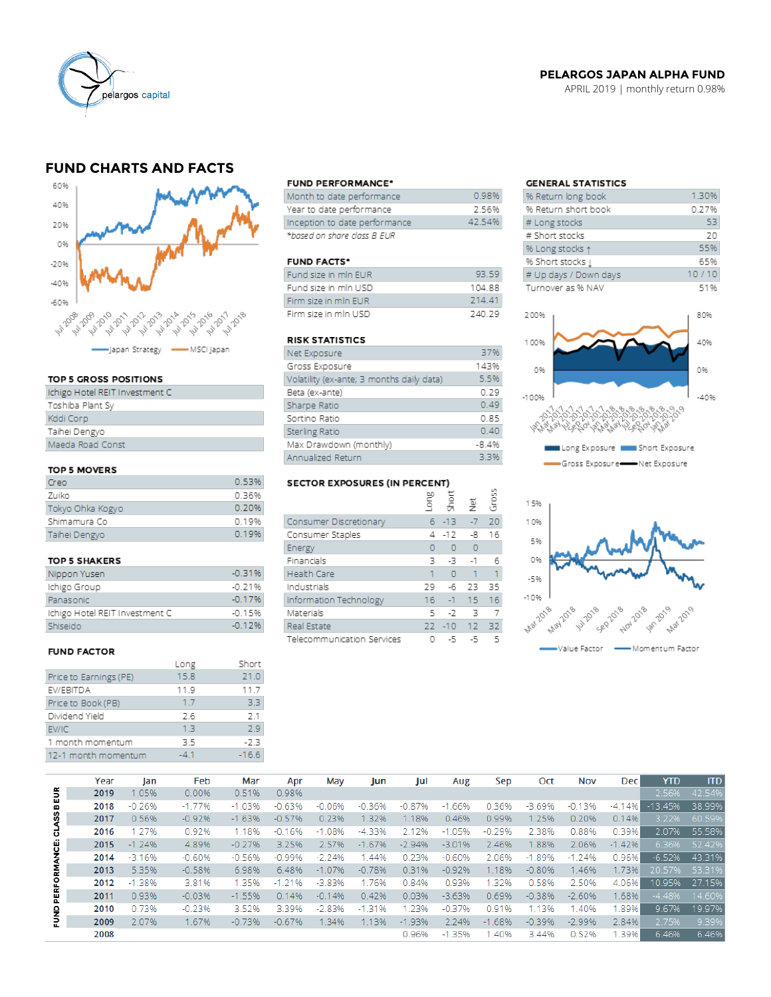

### **PELARGOS JAPAN ALPHA FUND**

APRIL 2019 | monthly return 0.98%

## **FUND CHARTS AND FACTS**



#### TOP 5 GROSS POSITIONS

| Ichigo Hotel REIT Investment C |
|--------------------------------|
| Toshiba Plant Sy               |
| Kddi Corp                      |
| Taihei Dengyo                  |
| Maeda Road Const               |
|                                |

#### TOP 5 MOVERS

| Creo             | 0.53% |
|------------------|-------|
| Zuiko            | 0.36% |
| Tokyo Ohka Kogyo | 0.20% |
| Shimamura Co     | 0.19% |
| Taihei Dengyo    | 0.19% |

#### TOP 5 SHAKERS

| Nippon Yusen                   | $-0.31%$ |
|--------------------------------|----------|
| Ichigo Group                   | $-0.21%$ |
| Panasonic                      | $-0.17%$ |
| Ichigo Hotel REIT Investment C | $-0.15%$ |
| Shiseido                       | $-0.12%$ |

#### **FUND FACTOR**

|                        | Long | Short   |
|------------------------|------|---------|
| Price to Earnings (PE) | 15.8 | 21.0    |
| EV/EBITDA              | 11.9 | 11.7    |
| Price to Book (PB)     | 1.7  | 33      |
| Dividend Yield         | 2.6  | 2.1     |
| EV/IC                  | 13   | 29      |
| 1 month momentum       | 35   | $-2.3$  |
| 12-1 month momentum    | -41  | $-16.6$ |
|                        |      |         |

#### **FUND PERFORMANCE\***

| Month to date performance     | 0.98%  |
|-------------------------------|--------|
| Year to date performance      | 7 56%  |
| Inception to date performance | 42.54% |
| *based on share class B EUR   |        |

#### **FUND FACTS\***

| Fund size in min EUR | 93.59  |
|----------------------|--------|
| Fund size in mln USD | 10488  |
| Firm size in min EUR | 214.41 |
| Firm size in min USD | 740.79 |

### **RISK STATISTICS**

| Net Exposure                              | 37%     |
|-------------------------------------------|---------|
| Gross Exposure                            | 143%    |
| Volatility (ex-ante; 3 months daily data) | 5.5%    |
| Beta (ex-ante)                            | 0.29    |
| Sharpe Ratio                              | 0.49    |
| Sortino Ratio                             | 0.85    |
| Sterling Ratio                            | 0.40    |
| Max Drawdown (monthly)                    | $-8.4%$ |
| Annualized Return                         | 3.3%    |

# SECTOR EXPOSURES (IN PERCENT)

|                            | ξ   | 흙        | 흋       | ğ  |
|----------------------------|-----|----------|---------|----|
| Consumer Discretionary     |     | 6 - 13   | $-7$    | 20 |
| Consumer Staples           | 4   | $-12$    | -8      | 16 |
| Energy                     | 0   | $\circ$  | $\circ$ |    |
| Financials                 | з   | -3 -     | $-1$    | 6  |
| Health Care                |     | $\Omega$ | 1       | 1  |
| Industrials                | 29  | -6       | - 23    | 35 |
| Information Technology     | 16. |          | $-1$ 15 | 16 |
| Materials                  | 5   | $-7$     | 3       |    |
| Real Estate                | 22  | $-10$ 12 |         | 32 |
| Telecommunication Services |     | -5       | -5      | 5  |

 $\overline{2}$ 

### **GENERAL STATISTICS**

| % Return long book    | 1.30% |
|-----------------------|-------|
| % Return short book   | 0.27% |
| # Long stocks         | 53    |
| # Short stocks        | 20    |
| % Long stocks 1       | 55%   |
| % Short stocks [      | 65%   |
| # Up days / Down days | 10/10 |
| Turnover as % NAV     | 51%   |
|                       |       |
| 200%                  | 80%   |
|                       |       |





|              | Year | Jan      | Feb      | Mar      | Apr      | May      | Jun      | Jul      | Aug      | Sep      | Oct      | Nov      | <b>Dec</b> | <b>YTD</b> | <b>ITD</b> |
|--------------|------|----------|----------|----------|----------|----------|----------|----------|----------|----------|----------|----------|------------|------------|------------|
| BEUR         | 2019 | 1.05%    | 0.00%    | 0.51%    | 0.98%    |          |          |          |          |          |          |          |            | 2.56%      | 42.54%     |
|              | 2018 | $-0.26%$ | $-1.77%$ | $-1.03%$ | $-0.63%$ | $-0.06%$ | $-0.36%$ | $-0.87%$ | $-1.66%$ | 0.36%    | $-3.69%$ | $-0.13%$ | $-4.14%$   | $-13.45%$  | 38.99%     |
| <b>CLASS</b> | 2017 | 0.56%    | $-0.92%$ | $-1.63%$ | $-0.57%$ | 0.23%    | 1.32%    | 1.18%    | 0.46%    | 0.99%    | 1.25%    | 0.20%    | 0.14%      | 3.22%      | 60.59%     |
|              | 2016 | 1.27%    | 0.92%    | 1.18%    | $-0.16%$ | $-1.08%$ | $-4.33%$ | 2.12%    | $-1.05%$ | $-0.29%$ | 2.38%    | 0.88%    | 0.39%      | 2.07%      | 55.58%     |
|              | 2015 | $-1.24%$ | 4.89%    | $-0.27%$ | 3.25%    | 2.57%    | $-1.67%$ | $-2.94%$ | $-3.01%$ | 2.46%    | .88%     | 2.06%    | $-1.42%$   | 6.36%      | 52.42%     |
| PERFORMANCE: | 2014 | $-3.16%$ | $-0.60%$ | $-0.56%$ | $-0.99%$ | $-2.24%$ | .44%     | 0.23%    | $-0.60%$ | 2.06%    | $-1.89%$ | $-1.24%$ | 0.96%      | $-6.52%$   | 43.31%     |
|              | 2013 | 5.35%    | $-0.58%$ | 6.98%    | 6.48%    | $-1.07%$ | $-0.78%$ | 0.31%    | $-0.92%$ | 1.18%    | $-0.80%$ | 1.46%    | 1.73%      | 20.57%     | 53.31%     |
|              | 2012 | $-1.38%$ | 3.81%    | 1.35%    | $-1.21%$ | $-3.83%$ | 1.76%    | 0.84%    | 0.93%    | 1.32%    | 0.58%    | 2.50%    | 4.06%      | 10.95%     | 27.15%     |
|              | 2011 | 0.93%    | $-0.03%$ | $-1.55%$ | 0.14%    | $-0.14%$ | 0.42%    | 0.03%    | $-3.63%$ | 0.69%    | $-0.38%$ | $-2.60%$ | 1.68%      | $-4.48%$   | 14.60%     |
|              | 2010 | 0.73%    | $-0.23%$ | 3.52%    | 3.39%    | $-2.83%$ | $-1.31%$ | 1.23%    | $-0.37%$ | 0.91%    | 1.13%    | 1.40%    | 1.89%      | 9.67%      | 19.97%     |
| 름            | 2009 | 2.07%    | 1.67%    | $-0.73%$ | $-0.67%$ | 1.34%    | 1.13%    | $-1.93%$ | 2.24%    | $-1.68%$ | $-0.39%$ | $-2.99%$ | 2.84%      | 2.75%      | 9.39%      |
|              | 2008 |          |          |          |          |          |          | 0.96%    | $-1.35%$ | .40%     | 3.44%    | 0.52%    | 1.39%      | 6.46%      | 6.46%      |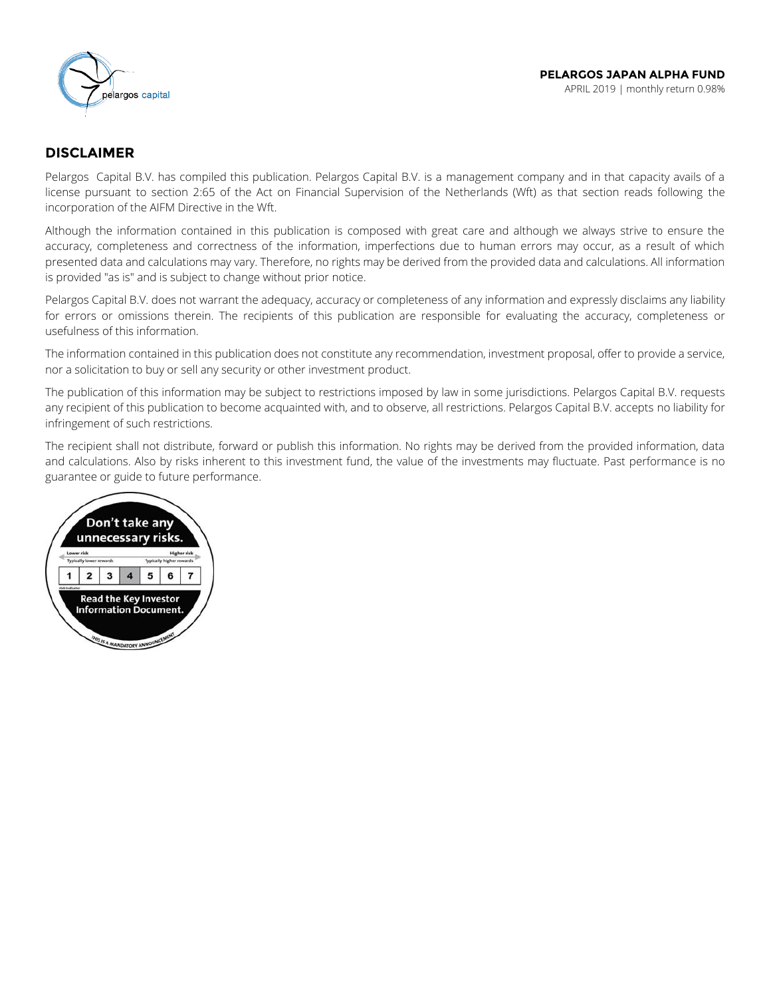

### **DISCLAIMER**

Pelargos Capital B.V. has compiled this publication. Pelargos Capital B.V. is a management company and in that capacity avails of a license pursuant to section 2:65 of the Act on Financial Supervision of the Netherlands (Wft) as that section reads following the incorporation of the AIFM Directive in the Wft.

Although the information contained in this publication is composed with great care and although we always strive to ensure the accuracy, completeness and correctness of the information, imperfections due to human errors may occur, as a result of which presented data and calculations may vary. Therefore, no rights may be derived from the provided data and calculations. All information is provided "as is" and is subject to change without prior notice.

Pelargos Capital B.V. does not warrant the adequacy, accuracy or completeness of any information and expressly disclaims any liability for errors or omissions therein. The recipients of this publication are responsible for evaluating the accuracy, completeness or usefulness of this information.

The information contained in this publication does not constitute any recommendation, investment proposal, offer to provide a service, nor a solicitation to buy or sell any security or other investment product.

The publication of this information may be subject to restrictions imposed by law in some jurisdictions. Pelargos Capital B.V. requests any recipient of this publication to become acquainted with, and to observe, all restrictions. Pelargos Capital B.V. accepts no liability for infringement of such restrictions.

The recipient shall not distribute, forward or publish this information. No rights may be derived from the provided information, data and calculations. Also by risks inherent to this investment fund, the value of the investments may fluctuate. Past performance is no guarantee or guide to future performance.